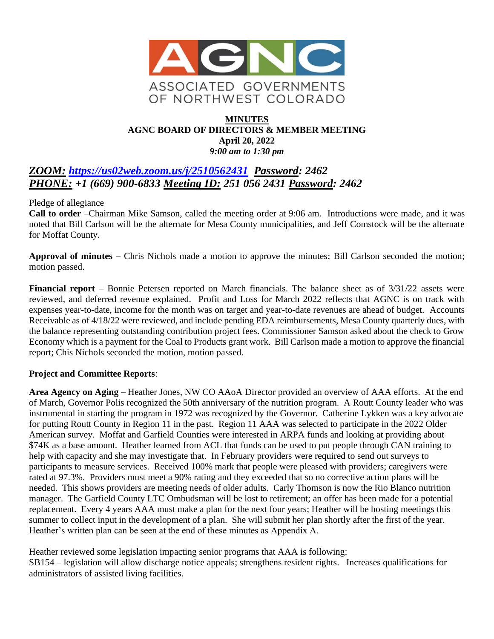

#### **MINUTES AGNC BOARD OF DIRECTORS & MEMBER MEETING April 20, 2022** *9:00 am to 1:30 pm*

## *ZOOM: <https://us02web.zoom.us/j/2510562431>**Password: 2462 PHONE: +1 (669) 900-6833 Meeting ID: 251 056 2431 Password: 2462*

Pledge of allegiance

**Call to order** –Chairman Mike Samson, called the meeting order at 9:06 am. Introductions were made, and it was noted that Bill Carlson will be the alternate for Mesa County municipalities, and Jeff Comstock will be the alternate for Moffat County.

**Approval of minutes** – Chris Nichols made a motion to approve the minutes; Bill Carlson seconded the motion; motion passed.

**Financial report** – Bonnie Petersen reported on March financials. The balance sheet as of 3/31/22 assets were reviewed, and deferred revenue explained. Profit and Loss for March 2022 reflects that AGNC is on track with expenses year-to-date, income for the month was on target and year-to-date revenues are ahead of budget. Accounts Receivable as of 4/18/22 were reviewed, and include pending EDA reimbursements, Mesa County quarterly dues, with the balance representing outstanding contribution project fees. Commissioner Samson asked about the check to Grow Economy which is a payment for the Coal to Products grant work. Bill Carlson made a motion to approve the financial report; Chis Nichols seconded the motion, motion passed.

#### **Project and Committee Reports**:

**Area Agency on Aging –** Heather Jones, NW CO AAoA Director provided an overview of AAA efforts. At the end of March, Governor Polis recognized the 50th anniversary of the nutrition program. A Routt County leader who was instrumental in starting the program in 1972 was recognized by the Governor. Catherine Lykken was a key advocate for putting Routt County in Region 11 in the past. Region 11 AAA was selected to participate in the 2022 Older American survey. Moffat and Garfield Counties were interested in ARPA funds and looking at providing about \$74K as a base amount. Heather learned from ACL that funds can be used to put people through CAN training to help with capacity and she may investigate that. In February providers were required to send out surveys to participants to measure services. Received 100% mark that people were pleased with providers; caregivers were rated at 97.3%. Providers must meet a 90% rating and they exceeded that so no corrective action plans will be needed. This shows providers are meeting needs of older adults. Carly Thomson is now the Rio Blanco nutrition manager. The Garfield County LTC Ombudsman will be lost to retirement; an offer has been made for a potential replacement. Every 4 years AAA must make a plan for the next four years; Heather will be hosting meetings this summer to collect input in the development of a plan. She will submit her plan shortly after the first of the year. Heather's written plan can be seen at the end of these minutes as Appendix A.

Heather reviewed some legislation impacting senior programs that AAA is following: SB154 – legislation will allow discharge notice appeals; strengthens resident rights. Increases qualifications for administrators of assisted living facilities.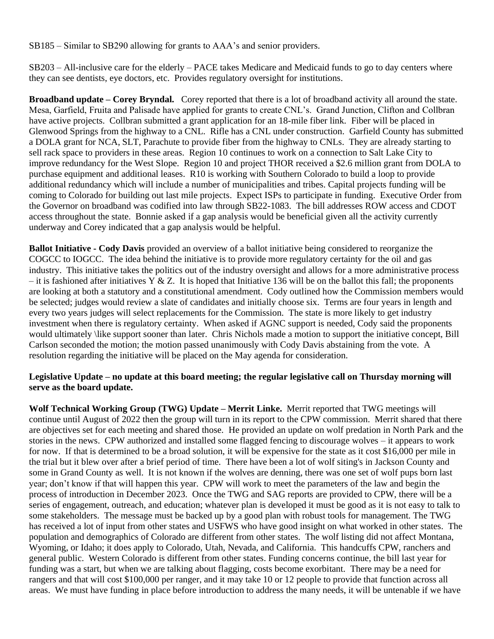SB185 – Similar to SB290 allowing for grants to AAA's and senior providers.

SB203 – All-inclusive care for the elderly – PACE takes Medicare and Medicaid funds to go to day centers where they can see dentists, eye doctors, etc. Provides regulatory oversight for institutions.

**Broadband update – Corey Bryndal.** Corey reported that there is a lot of broadband activity all around the state. Mesa, Garfield, Fruita and Palisade have applied for grants to create CNL's. Grand Junction, Clifton and Collbran have active projects. Collbran submitted a grant application for an 18-mile fiber link. Fiber will be placed in Glenwood Springs from the highway to a CNL. Rifle has a CNL under construction. Garfield County has submitted a DOLA grant for NCA, SLT, Parachute to provide fiber from the highway to CNLs. They are already starting to sell rack space to providers in these areas. Region 10 continues to work on a connection to Salt Lake City to improve redundancy for the West Slope. Region 10 and project THOR received a \$2.6 million grant from DOLA to purchase equipment and additional leases. R10 is working with Southern Colorado to build a loop to provide additional redundancy which will include a number of municipalities and tribes. Capital projects funding will be coming to Colorado for building out last mile projects. Expect ISPs to participate in funding. Executive Order from the Governor on broadband was codified into law through SB22-1083. The bill addresses ROW access and CDOT access throughout the state. Bonnie asked if a gap analysis would be beneficial given all the activity currently underway and Corey indicated that a gap analysis would be helpful.

**Ballot Initiative - Cody Davis** provided an overview of a ballot initiative being considered to reorganize the COGCC to IOGCC. The idea behind the initiative is to provide more regulatory certainty for the oil and gas industry. This initiative takes the politics out of the industry oversight and allows for a more administrative process – it is fashioned after initiatives Y & Z. It is hoped that Initiative 136 will be on the ballot this fall; the proponents are looking at both a statutory and a constitutional amendment. Cody outlined how the Commission members would be selected; judges would review a slate of candidates and initially choose six. Terms are four years in length and every two years judges will select replacements for the Commission. The state is more likely to get industry investment when there is regulatory certainty. When asked if AGNC support is needed, Cody said the proponents would ultimately \like support sooner than later. Chris Nichols made a motion to support the initiative concept, Bill Carlson seconded the motion; the motion passed unanimously with Cody Davis abstaining from the vote. A resolution regarding the initiative will be placed on the May agenda for consideration.

#### **Legislative Update – no update at this board meeting; the regular legislative call on Thursday morning will serve as the board update.**

**Wolf Technical Working Group (TWG) Update – Merrit Linke.** Merrit reported that TWG meetings will continue until August of 2022 then the group will turn in its report to the CPW commission. Merrit shared that there are objectives set for each meeting and shared those. He provided an update on wolf predation in North Park and the stories in the news. CPW authorized and installed some flagged fencing to discourage wolves – it appears to work for now. If that is determined to be a broad solution, it will be expensive for the state as it cost \$16,000 per mile in the trial but it blew over after a brief period of time. There have been a lot of wolf siting's in Jackson County and some in Grand County as well. It is not known if the wolves are denning, there was one set of wolf pups born last year; don't know if that will happen this year. CPW will work to meet the parameters of the law and begin the process of introduction in December 2023. Once the TWG and SAG reports are provided to CPW, there will be a series of engagement, outreach, and education; whatever plan is developed it must be good as it is not easy to talk to some stakeholders. The message must be backed up by a good plan with robust tools for management. The TWG has received a lot of input from other states and USFWS who have good insight on what worked in other states. The population and demographics of Colorado are different from other states. The wolf listing did not affect Montana, Wyoming, or Idaho; it does apply to Colorado, Utah, Nevada, and California. This handcuffs CPW, ranchers and general public. Western Colorado is different from other states. Funding concerns continue, the bill last year for funding was a start, but when we are talking about flagging, costs become exorbitant. There may be a need for rangers and that will cost \$100,000 per ranger, and it may take 10 or 12 people to provide that function across all areas. We must have funding in place before introduction to address the many needs, it will be untenable if we have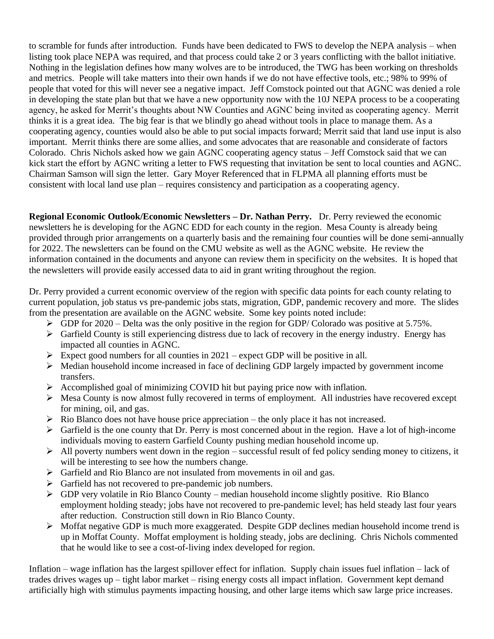to scramble for funds after introduction. Funds have been dedicated to FWS to develop the NEPA analysis – when listing took place NEPA was required, and that process could take 2 or 3 years conflicting with the ballot initiative. Nothing in the legislation defines how many wolves are to be introduced, the TWG has been working on thresholds and metrics. People will take matters into their own hands if we do not have effective tools, etc.; 98% to 99% of people that voted for this will never see a negative impact. Jeff Comstock pointed out that AGNC was denied a role in developing the state plan but that we have a new opportunity now with the 10J NEPA process to be a cooperating agency, he asked for Merrit's thoughts about NW Counties and AGNC being invited as cooperating agency. Merrit thinks it is a great idea. The big fear is that we blindly go ahead without tools in place to manage them. As a cooperating agency, counties would also be able to put social impacts forward; Merrit said that land use input is also important. Merrit thinks there are some allies, and some advocates that are reasonable and considerate of factors Colorado. Chris Nichols asked how we gain AGNC cooperating agency status – Jeff Comstock said that we can kick start the effort by AGNC writing a letter to FWS requesting that invitation be sent to local counties and AGNC. Chairman Samson will sign the letter. Gary Moyer Referenced that in FLPMA all planning efforts must be consistent with local land use plan – requires consistency and participation as a cooperating agency.

**Regional Economic Outlook/Economic Newsletters – Dr. Nathan Perry.** Dr. Perry reviewed the economic newsletters he is developing for the AGNC EDD for each county in the region. Mesa County is already being provided through prior arrangements on a quarterly basis and the remaining four counties will be done semi-annually for 2022. The newsletters can be found on the CMU website as well as the AGNC website. He review the information contained in the documents and anyone can review them in specificity on the websites. It is hoped that the newsletters will provide easily accessed data to aid in grant writing throughout the region.

Dr. Perry provided a current economic overview of the region with specific data points for each county relating to current population, job status vs pre-pandemic jobs stats, migration, GDP, pandemic recovery and more. The slides from the presentation are available on the AGNC website. Some key points noted include:

- $\triangleright$  GDP for 2020 Delta was the only positive in the region for GDP/ Colorado was positive at 5.75%.
- ➢ Garfield County is still experiencing distress due to lack of recovery in the energy industry. Energy has impacted all counties in AGNC.
- $\triangleright$  Expect good numbers for all counties in 2021 expect GDP will be positive in all.
- ➢ Median household income increased in face of declining GDP largely impacted by government income transfers.
- $\triangleright$  Accomplished goal of minimizing COVID hit but paying price now with inflation.
- $\triangleright$  Mesa County is now almost fully recovered in terms of employment. All industries have recovered except for mining, oil, and gas.
- $\triangleright$  Rio Blanco does not have house price appreciation the only place it has not increased.
- $\triangleright$  Garfield is the one county that Dr. Perry is most concerned about in the region. Have a lot of high-income individuals moving to eastern Garfield County pushing median household income up.
- ➢ All poverty numbers went down in the region successful result of fed policy sending money to citizens, it will be interesting to see how the numbers change.
- ➢ Garfield and Rio Blanco are not insulated from movements in oil and gas.
- ➢ Garfield has not recovered to pre-pandemic job numbers.
- $\triangleright$  GDP very volatile in Rio Blanco County median household income slightly positive. Rio Blanco employment holding steady; jobs have not recovered to pre-pandemic level; has held steady last four years after reduction. Construction still down in Rio Blanco County.
- ➢ Moffat negative GDP is much more exaggerated. Despite GDP declines median household income trend is up in Moffat County. Moffat employment is holding steady, jobs are declining. Chris Nichols commented that he would like to see a cost-of-living index developed for region.

Inflation – wage inflation has the largest spillover effect for inflation. Supply chain issues fuel inflation – lack of trades drives wages up – tight labor market – rising energy costs all impact inflation. Government kept demand artificially high with stimulus payments impacting housing, and other large items which saw large price increases.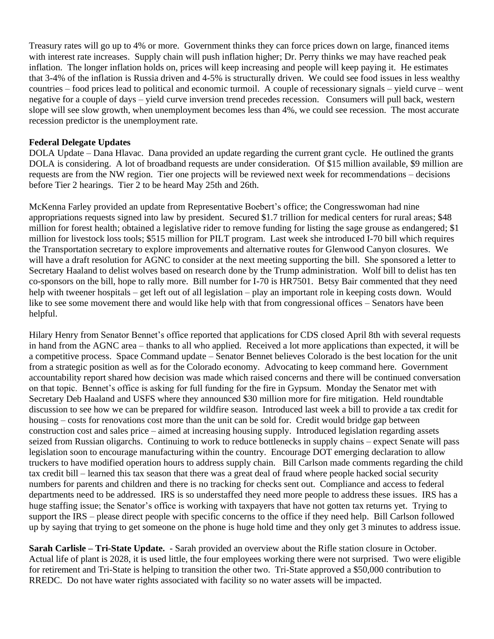Treasury rates will go up to 4% or more. Government thinks they can force prices down on large, financed items with interest rate increases. Supply chain will push inflation higher; Dr. Perry thinks we may have reached peak inflation. The longer inflation holds on, prices will keep increasing and people will keep paying it. He estimates that 3-4% of the inflation is Russia driven and 4-5% is structurally driven. We could see food issues in less wealthy countries – food prices lead to political and economic turmoil. A couple of recessionary signals – yield curve – went negative for a couple of days – yield curve inversion trend precedes recession. Consumers will pull back, western slope will see slow growth, when unemployment becomes less than 4%, we could see recession. The most accurate recession predictor is the unemployment rate.

#### **Federal Delegate Updates**

DOLA Update – Dana Hlavac. Dana provided an update regarding the current grant cycle. He outlined the grants DOLA is considering. A lot of broadband requests are under consideration. Of \$15 million available, \$9 million are requests are from the NW region. Tier one projects will be reviewed next week for recommendations – decisions before Tier 2 hearings. Tier 2 to be heard May 25th and 26th.

McKenna Farley provided an update from Representative Boebert's office; the Congresswoman had nine appropriations requests signed into law by president. Secured \$1.7 trillion for medical centers for rural areas; \$48 million for forest health; obtained a legislative rider to remove funding for listing the sage grouse as endangered; \$1 million for livestock loss tools; \$515 million for PILT program. Last week she introduced I-70 bill which requires the Transportation secretary to explore improvements and alternative routes for Glenwood Canyon closures. We will have a draft resolution for AGNC to consider at the next meeting supporting the bill. She sponsored a letter to Secretary Haaland to delist wolves based on research done by the Trump administration. Wolf bill to delist has ten co-sponsors on the bill, hope to rally more. Bill number for I-70 is HR7501. Betsy Bair commented that they need help with tweener hospitals – get left out of all legislation – play an important role in keeping costs down. Would like to see some movement there and would like help with that from congressional offices – Senators have been helpful.

Hilary Henry from Senator Bennet's office reported that applications for CDS closed April 8th with several requests in hand from the AGNC area – thanks to all who applied. Received a lot more applications than expected, it will be a competitive process. Space Command update – Senator Bennet believes Colorado is the best location for the unit from a strategic position as well as for the Colorado economy. Advocating to keep command here. Government accountability report shared how decision was made which raised concerns and there will be continued conversation on that topic. Bennet's office is asking for full funding for the fire in Gypsum. Monday the Senator met with Secretary Deb Haaland and USFS where they announced \$30 million more for fire mitigation. Held roundtable discussion to see how we can be prepared for wildfire season. Introduced last week a bill to provide a tax credit for housing – costs for renovations cost more than the unit can be sold for. Credit would bridge gap between construction cost and sales price – aimed at increasing housing supply. Introduced legislation regarding assets seized from Russian oligarchs. Continuing to work to reduce bottlenecks in supply chains – expect Senate will pass legislation soon to encourage manufacturing within the country. Encourage DOT emerging declaration to allow truckers to have modified operation hours to address supply chain. Bill Carlson made comments regarding the child tax credit bill – learned this tax season that there was a great deal of fraud where people hacked social security numbers for parents and children and there is no tracking for checks sent out. Compliance and access to federal departments need to be addressed. IRS is so understaffed they need more people to address these issues. IRS has a huge staffing issue; the Senator's office is working with taxpayers that have not gotten tax returns yet. Trying to support the IRS – please direct people with specific concerns to the office if they need help. Bill Carlson followed up by saying that trying to get someone on the phone is huge hold time and they only get 3 minutes to address issue.

**Sarah Carlisle – Tri-State Update.** - Sarah provided an overview about the Rifle station closure in October. Actual life of plant is 2028, it is used little, the four employees working there were not surprised. Two were eligible for retirement and Tri-State is helping to transition the other two. Tri-State approved a \$50,000 contribution to RREDC. Do not have water rights associated with facility so no water assets will be impacted.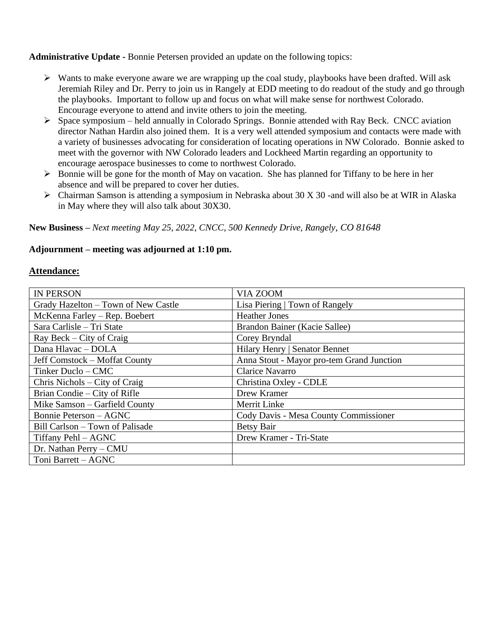**Administrative Update -** Bonnie Petersen provided an update on the following topics:

- $\triangleright$  Wants to make everyone aware we are wrapping up the coal study, playbooks have been drafted. Will ask Jeremiah Riley and Dr. Perry to join us in Rangely at EDD meeting to do readout of the study and go through the playbooks. Important to follow up and focus on what will make sense for northwest Colorado. Encourage everyone to attend and invite others to join the meeting.
- ➢ Space symposium held annually in Colorado Springs. Bonnie attended with Ray Beck. CNCC aviation director Nathan Hardin also joined them. It is a very well attended symposium and contacts were made with a variety of businesses advocating for consideration of locating operations in NW Colorado. Bonnie asked to meet with the governor with NW Colorado leaders and Lockheed Martin regarding an opportunity to encourage aerospace businesses to come to northwest Colorado.
- ➢ Bonnie will be gone for the month of May on vacation. She has planned for Tiffany to be here in her absence and will be prepared to cover her duties.
- ➢ Chairman Samson is attending a symposium in Nebraska about 30 X 30 -and will also be at WIR in Alaska in May where they will also talk about 30X30.

**New Business –** *Next meeting May 25, 2022, CNCC, 500 Kennedy Drive, Rangely, CO 81648*

#### **Adjournment – meeting was adjourned at 1:10 pm.**

#### **Attendance:**

| <b>IN PERSON</b>                    | VIA ZOOM                                  |
|-------------------------------------|-------------------------------------------|
| Grady Hazelton - Town of New Castle | Lisa Piering   Town of Rangely            |
| McKenna Farley - Rep. Boebert       | <b>Heather Jones</b>                      |
| Sara Carlisle - Tri State           | Brandon Bainer (Kacie Sallee)             |
| Ray Beck – City of Craig            | Corey Bryndal                             |
| Dana Hlavac - DOLA                  | Hilary Henry   Senator Bennet             |
| Jeff Comstock – Moffat County       | Anna Stout - Mayor pro-tem Grand Junction |
| Tinker Duclo – CMC                  | Clarice Navarro                           |
| Chris Nichols – City of Craig       | Christina Oxley - CDLE                    |
| Brian Condie – City of Rifle        | Drew Kramer                               |
| Mike Samson - Garfield County       | <b>Merrit Linke</b>                       |
| <b>Bonnie Peterson - AGNC</b>       | Cody Davis - Mesa County Commissioner     |
| Bill Carlson – Town of Palisade     | <b>Betsy Bair</b>                         |
| Tiffany Pehl – AGNC                 | Drew Kramer - Tri-State                   |
| Dr. Nathan Perry - CMU              |                                           |
| Toni Barrett - AGNC                 |                                           |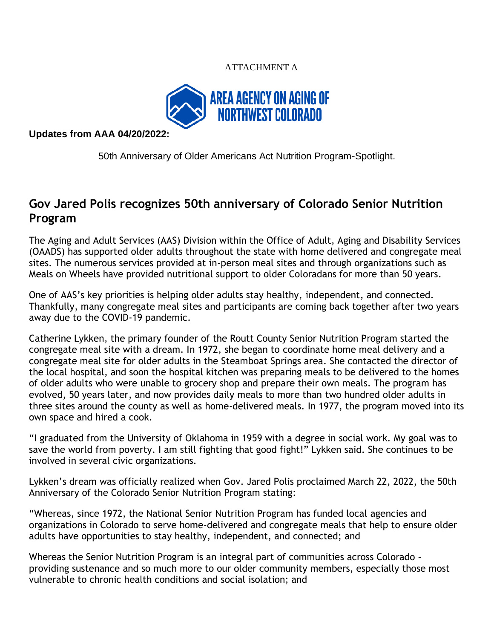### ATTACHMENT A



**Updates from AAA 04/20/2022:**

[50th Anniversary of Older Americans Act Nutrition Program-Spotlight.](https://sites.google.com/a/state.co.us/cdhsintranet/whats-new/connections-newsletter#h.d23h1z4nf7uj) 

# **Gov Jared Polis recognizes 50th anniversary of Colorado Senior Nutrition Program**

The Aging and Adult Services (AAS) Division within the Office of Adult, Aging and Disability Services (OAADS) has supported older adults throughout the state with home delivered and congregate meal sites. The numerous services provided at in-person meal sites and through organizations such as Meals on Wheels have provided nutritional support to older Coloradans for more than 50 years.

One of AAS's key priorities is helping older adults stay healthy, independent, and connected. Thankfully, many congregate meal sites and participants are coming back together after two years away due to the COVID-19 pandemic.

Catherine Lykken, the primary founder of the Routt County Senior Nutrition Program started the congregate meal site with a dream. In 1972, she began to coordinate home meal delivery and a congregate meal site for older adults in the Steamboat Springs area. She contacted the director of the local hospital, and soon the hospital kitchen was preparing meals to be delivered to the homes of older adults who were unable to grocery shop and prepare their own meals. The program has evolved, 50 years later, and now provides daily meals to more than two hundred older adults in three sites around the county as well as home-delivered meals. In 1977, the program moved into its own space and hired a cook.

"I graduated from the University of Oklahoma in 1959 with a degree in social work. My goal was to save the world from poverty. I am still fighting that good fight!" Lykken said. She continues to be involved in several civic organizations.

Lykken's dream was officially realized when Gov. Jared Polis proclaimed March 22, 2022, the 50th Anniversary of the Colorado Senior Nutrition Program stating:

"Whereas, since 1972, the National Senior Nutrition Program has funded local agencies and organizations in Colorado to serve home-delivered and congregate meals that help to ensure older adults have opportunities to stay healthy, independent, and connected; and

Whereas the Senior Nutrition Program is an integral part of communities across Colorado – providing sustenance and so much more to our older community members, especially those most vulnerable to chronic health conditions and social isolation; and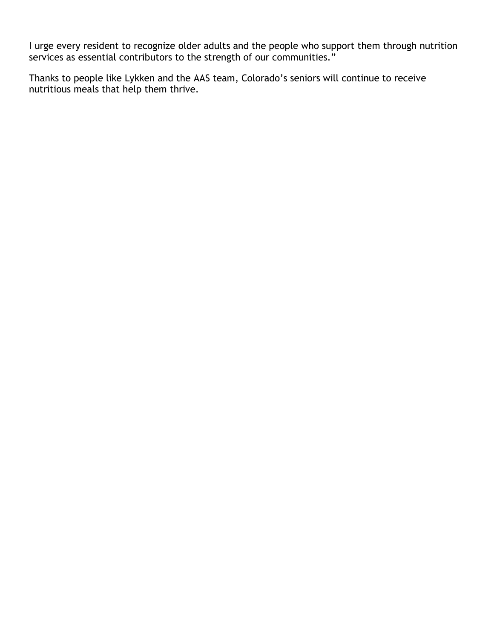I urge every resident to recognize older adults and the people who support them through nutrition services as essential contributors to the strength of our communities."

Thanks to people like Lykken and the AAS team, Colorado's seniors will continue to receive nutritious meals that help them thrive.